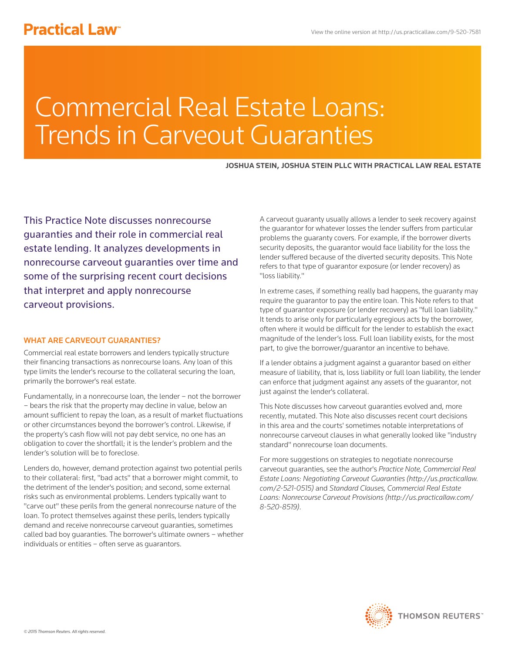# Commercial Real Estate Loans: Trends in Carveout Guaranties

# **JOSHUA STEIN, JOSHUA STEIN PLLC WITH PRACTICAL LAW REAL ESTATE**

This Practice Note discusses nonrecourse guaranties and their role in commercial real estate lending. It analyzes developments in nonrecourse carveout guaranties over time and some of the surprising recent court decisions that interpret and apply nonrecourse carveout provisions.

# WHAT ARE CARVEOUT GUARANTIES?

Commercial real estate borrowers and lenders typically structure their financing transactions as nonrecourse loans. Any loan of this type limits the lender's recourse to the collateral securing the loan, primarily the borrower's real estate.

Fundamentally, in a nonrecourse loan, the lender – not the borrower – bears the risk that the property may decline in value, below an amount sufficient to repay the loan, as a result of market fluctuations or other circumstances beyond the borrower's control. Likewise, if the property's cash flow will not pay debt service, no one has an obligation to cover the shortfall; it is the lender's problem and the lender's solution will be to foreclose.

Lenders do, however, demand protection against two potential perils to their collateral: first, "bad acts" that a borrower might commit, to the detriment of the lender's position; and second, some external risks such as environmental problems. Lenders typically want to "carve out" these perils from the general nonrecourse nature of the loan. To protect themselves against these perils, lenders typically demand and receive nonrecourse carveout guaranties, sometimes called bad boy guaranties. The borrower's ultimate owners – whether individuals or entities – often serve as guarantors.

A carveout guaranty usually allows a lender to seek recovery against the guarantor for whatever losses the lender suffers from particular problems the guaranty covers. For example, if the borrower diverts security deposits, the guarantor would face liability for the loss the lender suffered because of the diverted security deposits. This Note refers to that type of guarantor exposure (or lender recovery) as "loss liability."

In extreme cases, if something really bad happens, the guaranty may require the guarantor to pay the entire loan. This Note refers to that type of guarantor exposure (or lender recovery) as "full loan liability." It tends to arise only for particularly egregious acts by the borrower, often where it would be difficult for the lender to establish the exact magnitude of the lender's loss. Full loan liability exists, for the most part, to give the borrower/guarantor an incentive to behave.

If a lender obtains a judgment against a guarantor based on either measure of liability, that is, loss liability or full loan liability, the lender can enforce that judgment against any assets of the guarantor, not just against the lender's collateral.

This Note discusses how carveout guaranties evolved and, more recently, mutated. This Note also discusses recent court decisions in this area and the courts' sometimes notable interpretations of nonrecourse carveout clauses in what generally looked like "industry standard" nonrecourse loan documents.

For more suggestions on strategies to negotiate nonrecourse carveout guaranties, see the author's *Practice Note, Commercial Real Estate Loans: Negotiating Carveout Guaranties (http://us.practicallaw. com/2-521-0515)* and *Standard Clauses, Commercial Real Estate Loans: Nonrecourse Carveout Provisions (http://us.practicallaw.com/ 8-520-8519)*.

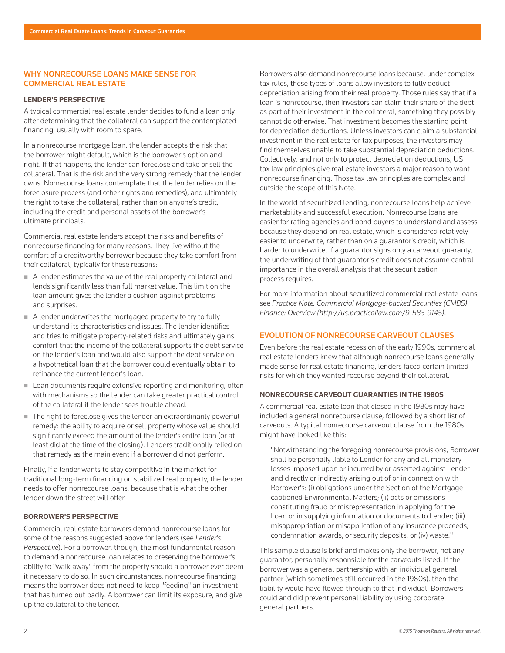# WHY NONRECOURSE LOANS MAKE SENSE FOR COMMERCIAL REAL ESTATE

# **LENDER'S PERSPECTIVE**

A typical commercial real estate lender decides to fund a loan only after determining that the collateral can support the contemplated financing, usually with room to spare.

In a nonrecourse mortgage loan, the lender accepts the risk that the borrower might default, which is the borrower's option and right. If that happens, the lender can foreclose and take or sell the collateral. That is the risk and the very strong remedy that the lender owns. Nonrecourse loans contemplate that the lender relies on the foreclosure process (and other rights and remedies), and ultimately the right to take the collateral, rather than on anyone's credit, including the credit and personal assets of the borrower's ultimate principals.

Commercial real estate lenders accept the risks and benefits of nonrecourse financing for many reasons. They live without the comfort of a creditworthy borrower because they take comfort from their collateral, typically for these reasons:

- A lender estimates the value of the real property collateral and lends significantly less than full market value. This limit on the loan amount gives the lender a cushion against problems and surprises.
- A lender underwrites the mortgaged property to try to fully understand its characteristics and issues. The lender identifies and tries to mitigate property-related risks and ultimately gains comfort that the income of the collateral supports the debt service on the lender's loan and would also support the debt service on a hypothetical loan that the borrower could eventually obtain to refinance the current lender's loan.
- Loan documents require extensive reporting and monitoring, often with mechanisms so the lender can take greater practical control of the collateral if the lender sees trouble ahead.
- The right to foreclose gives the lender an extraordinarily powerful remedy: the ability to acquire or sell property whose value should significantly exceed the amount of the lender's entire loan (or at least did at the time of the closing). Lenders traditionally relied on that remedy as the main event if a borrower did not perform.

Finally, if a lender wants to stay competitive in the market for traditional long-term financing on stabilized real property, the lender needs to offer nonrecourse loans, because that is what the other lender down the street will offer.

# **BORROWER'S PERSPECTIVE**

Commercial real estate borrowers demand nonrecourse loans for some of the reasons suggested above for lenders (see *Lender's Perspective*). For a borrower, though, the most fundamental reason to demand a nonrecourse loan relates to preserving the borrower's ability to "walk away" from the property should a borrower ever deem it necessary to do so. In such circumstances, nonrecourse financing means the borrower does not need to keep "feeding" an investment that has turned out badly. A borrower can limit its exposure, and give up the collateral to the lender.

Borrowers also demand nonrecourse loans because, under complex tax rules, these types of loans allow investors to fully deduct depreciation arising from their real property. Those rules say that if a loan is nonrecourse, then investors can claim their share of the debt as part of their investment in the collateral, something they possibly cannot do otherwise. That investment becomes the starting point for depreciation deductions. Unless investors can claim a substantial investment in the real estate for tax purposes, the investors may find themselves unable to take substantial depreciation deductions. Collectively, and not only to protect depreciation deductions, US tax law principles give real estate investors a major reason to want nonrecourse financing. Those tax law principles are complex and outside the scope of this Note.

In the world of securitized lending, nonrecourse loans help achieve marketability and successful execution. Nonrecourse loans are easier for rating agencies and bond buyers to understand and assess because they depend on real estate, which is considered relatively easier to underwrite, rather than on a guarantor's credit, which is harder to underwrite. If a guarantor signs only a carveout guaranty, the underwriting of that guarantor's credit does not assume central importance in the overall analysis that the securitization process requires.

For more information about securitized commercial real estate loans, see *Practice Note, Commercial Mortgage-backed Securities (CMBS) Finance: Overview (http://us.practicallaw.com/9-583-9145)*.

# EVOLUTION OF NONRECOURSE CARVEOUT CLAUSES

Even before the real estate recession of the early 1990s, commercial real estate lenders knew that although nonrecourse loans generally made sense for real estate financing, lenders faced certain limited risks for which they wanted recourse beyond their collateral.

# **NONRECOURSE CARVEOUT GUARANTIES IN THE 1980S**

A commercial real estate loan that closed in the 1980s may have included a general nonrecourse clause, followed by a short list of carveouts. A typical nonrecourse carveout clause from the 1980s might have looked like this:

"Notwithstanding the foregoing nonrecourse provisions, Borrower shall be personally liable to Lender for any and all monetary losses imposed upon or incurred by or asserted against Lender and directly or indirectly arising out of or in connection with Borrower's: (i) obligations under the Section of the Mortgage captioned Environmental Matters; (ii) acts or omissions constituting fraud or misrepresentation in applying for the Loan or in supplying information or documents to Lender; (iii) misappropriation or misapplication of any insurance proceeds, condemnation awards, or security deposits; or (iv) waste."

This sample clause is brief and makes only the borrower, not any guarantor, personally responsible for the carveouts listed. If the borrower was a general partnership with an individual general partner (which sometimes still occurred in the 1980s), then the liability would have flowed through to that individual. Borrowers could and did prevent personal liability by using corporate general partners.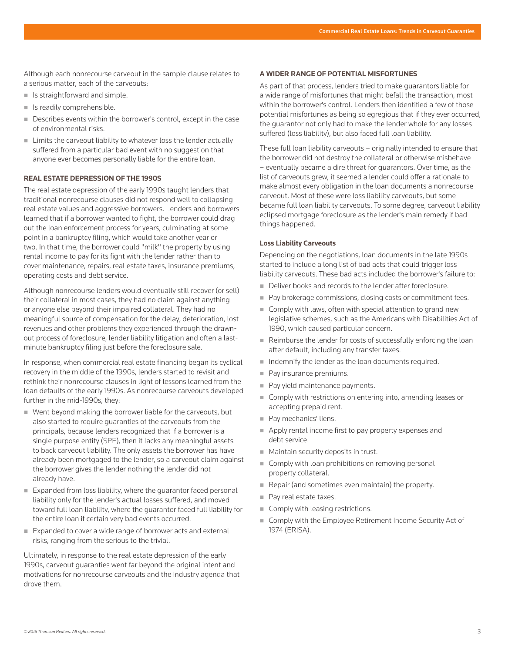Although each nonrecourse carveout in the sample clause relates to a serious matter, each of the carveouts:

- $\blacksquare$  Is straightforward and simple.
- **In Is readily comprehensible.**
- Describes events within the borrower's control, except in the case of environmental risks.
- **EXTENDING** Limits the carveout liability to whatever loss the lender actually suffered from a particular bad event with no suggestion that anyone ever becomes personally liable for the entire loan.

#### **REAL ESTATE DEPRESSION OF THE 1990S**

The real estate depression of the early 1990s taught lenders that traditional nonrecourse clauses did not respond well to collapsing real estate values and aggressive borrowers. Lenders and borrowers learned that if a borrower wanted to fight, the borrower could drag out the loan enforcement process for years, culminating at some point in a bankruptcy filing, which would take another year or two. In that time, the borrower could "milk" the property by using rental income to pay for its fight with the lender rather than to cover maintenance, repairs, real estate taxes, insurance premiums, operating costs and debt service.

Although nonrecourse lenders would eventually still recover (or sell) their collateral in most cases, they had no claim against anything or anyone else beyond their impaired collateral. They had no meaningful source of compensation for the delay, deterioration, lost revenues and other problems they experienced through the drawnout process of foreclosure, lender liability litigation and often a lastminute bankruptcy filing just before the foreclosure sale.

In response, when commercial real estate financing began its cyclical recovery in the middle of the 1990s, lenders started to revisit and rethink their nonrecourse clauses in light of lessons learned from the loan defaults of the early 1990s. As nonrecourse carveouts developed further in the mid-1990s, they:

- Went beyond making the borrower liable for the carveouts, but also started to require guaranties of the carveouts from the principals, because lenders recognized that if a borrower is a single purpose entity (SPE), then it lacks any meaningful assets to back carveout liability. The only assets the borrower has have already been mortgaged to the lender, so a carveout claim against the borrower gives the lender nothing the lender did not already have.
- Expanded from loss liability, where the quarantor faced personal liability only for the lender's actual losses suffered, and moved toward full loan liability, where the guarantor faced full liability for the entire loan if certain very bad events occurred.
- Expanded to cover a wide range of borrower acts and external risks, ranging from the serious to the trivial.

Ultimately, in response to the real estate depression of the early 1990s, carveout guaranties went far beyond the original intent and motivations for nonrecourse carveouts and the industry agenda that drove them.

#### **A WIDER RANGE OF POTENTIAL MISFORTUNES**

As part of that process, lenders tried to make guarantors liable for a wide range of misfortunes that might befall the transaction, most within the borrower's control. Lenders then identified a few of those potential misfortunes as being so egregious that if they ever occurred, the guarantor not only had to make the lender whole for any losses suffered (loss liability), but also faced full loan liability.

These full loan liability carveouts – originally intended to ensure that the borrower did not destroy the collateral or otherwise misbehave – eventually became a dire threat for guarantors. Over time, as the list of carveouts grew, it seemed a lender could offer a rationale to make almost every obligation in the loan documents a nonrecourse carveout. Most of these were loss liability carveouts, but some became full loan liability carveouts. To some degree, carveout liability eclipsed mortgage foreclosure as the lender's main remedy if bad things happened.

#### **Loss Liability Carveouts**

Depending on the negotiations, loan documents in the late 1990s started to include a long list of bad acts that could trigger loss liability carveouts. These bad acts included the borrower's failure to:

- Deliver books and records to the lender after foreclosure.
- Pay brokerage commissions, closing costs or commitment fees.
- Comply with laws, often with special attention to grand new legislative schemes, such as the Americans with Disabilities Act of 1990, which caused particular concern.
- Reimburse the lender for costs of successfully enforcing the loan after default, including any transfer taxes.
- $\blacksquare$  Indemnify the lender as the loan documents required.
- Pay insurance premiums.
- Pay yield maintenance payments.
- Comply with restrictions on entering into, amending leases or accepting prepaid rent.
- Pay mechanics' liens.
- Apply rental income first to pay property expenses and debt service.
- **Maintain security deposits in trust.**
- Comply with loan prohibitions on removing personal property collateral.
- Repair (and sometimes even maintain) the property.
- Pay real estate taxes.
- Comply with leasing restrictions.
- Comply with the Employee Retirement Income Security Act of 1974 (ERISA).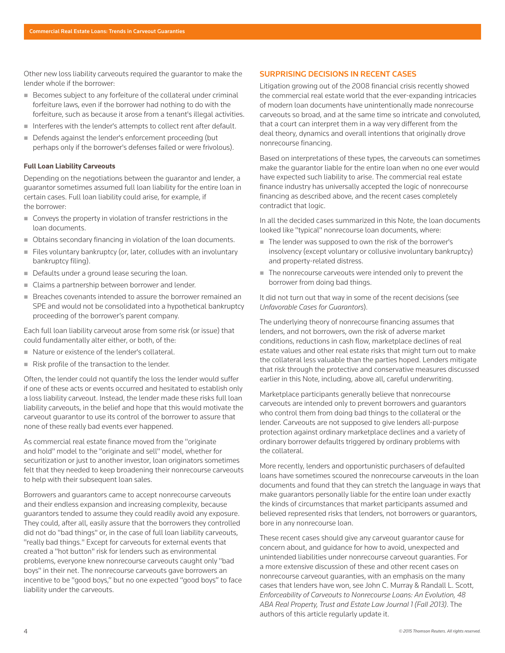Other new loss liability carveouts required the guarantor to make the lender whole if the borrower:

- Becomes subject to any forfeiture of the collateral under criminal forfeiture laws, even if the borrower had nothing to do with the forfeiture, such as because it arose from a tenant's illegal activities.
- Interferes with the lender's attempts to collect rent after default.
- Defends against the lender's enforcement proceeding (but perhaps only if the borrower's defenses failed or were frivolous).

## **Full Loan Liability Carveouts**

Depending on the negotiations between the guarantor and lender, a guarantor sometimes assumed full loan liability for the entire loan in certain cases. Full loan liability could arise, for example, if the borrower:

- Conveys the property in violation of transfer restrictions in the loan documents.
- Obtains secondary financing in violation of the loan documents.
- Files voluntary bankruptcy (or, later, colludes with an involuntary bankruptcy filing).
- Defaults under a ground lease securing the loan.
- Claims a partnership between borrower and lender.
- Breaches covenants intended to assure the borrower remained an SPE and would not be consolidated into a hypothetical bankruptcy proceeding of the borrower's parent company.

Each full loan liability carveout arose from some risk (or issue) that could fundamentally alter either, or both, of the:

- Nature or existence of the lender's collateral.
- Risk profile of the transaction to the lender.

Often, the lender could not quantify the loss the lender would suffer if one of these acts or events occurred and hesitated to establish only a loss liability carveout. Instead, the lender made these risks full loan liability carveouts, in the belief and hope that this would motivate the carveout guarantor to use its control of the borrower to assure that none of these really bad events ever happened.

As commercial real estate finance moved from the "originate and hold" model to the "originate and sell" model, whether for securitization or just to another investor, loan originators sometimes felt that they needed to keep broadening their nonrecourse carveouts to help with their subsequent loan sales.

Borrowers and guarantors came to accept nonrecourse carveouts and their endless expansion and increasing complexity, because guarantors tended to assume they could readily avoid any exposure. They could, after all, easily assure that the borrowers they controlled did not do "bad things" or, in the case of full loan liability carveouts, "really bad things." Except for carveouts for external events that created a "hot button" risk for lenders such as environmental problems, everyone knew nonrecourse carveouts caught only "bad boys" in their net. The nonrecourse carveouts gave borrowers an incentive to be "good boys," but no one expected "good boys" to face liability under the carveouts.

## SURPRISING DECISIONS IN RECENT CASES

Litigation growing out of the 2008 financial crisis recently showed the commercial real estate world that the ever-expanding intricacies of modern loan documents have unintentionally made nonrecourse carveouts so broad, and at the same time so intricate and convoluted, that a court can interpret them in a way very different from the deal theory, dynamics and overall intentions that originally drove nonrecourse financing.

Based on interpretations of these types, the carveouts can sometimes make the guarantor liable for the entire loan when no one ever would have expected such liability to arise. The commercial real estate finance industry has universally accepted the logic of nonrecourse financing as described above, and the recent cases completely contradict that logic.

In all the decided cases summarized in this Note, the loan documents looked like "typical" nonrecourse loan documents, where:

- The lender was supposed to own the risk of the borrower's insolvency (except voluntary or collusive involuntary bankruptcy) and property-related distress.
- The nonrecourse carveouts were intended only to prevent the borrower from doing bad things.

It did not turn out that way in some of the recent decisions (see *Unfavorable Cases for Guarantors*).

The underlying theory of nonrecourse financing assumes that lenders, and not borrowers, own the risk of adverse market conditions, reductions in cash flow, marketplace declines of real estate values and other real estate risks that might turn out to make the collateral less valuable than the parties hoped. Lenders mitigate that risk through the protective and conservative measures discussed earlier in this Note, including, above all, careful underwriting.

Marketplace participants generally believe that nonrecourse carveouts are intended only to prevent borrowers and guarantors who control them from doing bad things to the collateral or the lender. Carveouts are not supposed to give lenders all-purpose protection against ordinary marketplace declines and a variety of ordinary borrower defaults triggered by ordinary problems with the collateral.

More recently, lenders and opportunistic purchasers of defaulted loans have sometimes scoured the nonrecourse carveouts in the loan documents and found that they can stretch the language in ways that make guarantors personally liable for the entire loan under exactly the kinds of circumstances that market participants assumed and believed represented risks that lenders, not borrowers or guarantors, bore in any nonrecourse loan.

These recent cases should give any carveout guarantor cause for concern about, and guidance for how to avoid, unexpected and unintended liabilities under nonrecourse carveout guaranties. For a more extensive discussion of these and other recent cases on nonrecourse carveout guaranties, with an emphasis on the many cases that lenders have won, see John C. Murray & Randall L. Scott, *Enforceability of Carveouts to Nonrecourse Loans: An Evolution, 48 ABA Real Property, Trust and Estate Law Journal 1 (Fall 2013)*. The authors of this article regularly update it.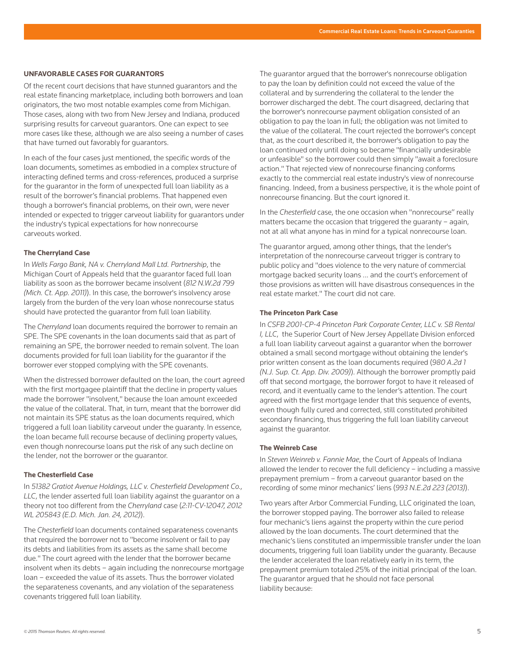#### **UNFAVORABLE CASES FOR GUARANTORS**

Of the recent court decisions that have stunned guarantors and the real estate financing marketplace, including both borrowers and loan originators, the two most notable examples come from Michigan. Those cases, along with two from New Jersey and Indiana, produced surprising results for carveout guarantors. One can expect to see more cases like these, although we are also seeing a number of cases that have turned out favorably for guarantors.

In each of the four cases just mentioned, the specific words of the loan documents, sometimes as embodied in a complex structure of interacting defined terms and cross-references, produced a surprise for the guarantor in the form of unexpected full loan liability as a result of the borrower's financial problems. That happened even though a borrower's financial problems, on their own, were never intended or expected to trigger carveout liability for guarantors under the industry's typical expectations for how nonrecourse carveouts worked.

## **The Cherryland Case**

In *Wells Fargo Bank, NA v. Cherryland Mall Ltd. Partnership*, the Michigan Court of Appeals held that the guarantor faced full loan liability as soon as the borrower became insolvent (*812 N.W.2d 799 (Mich. Ct. App. 2011)*). In this case, the borrower's insolvency arose largely from the burden of the very loan whose nonrecourse status should have protected the guarantor from full loan liability.

The *Cherryland* loan documents required the borrower to remain an SPE. The SPE covenants in the loan documents said that as part of remaining an SPE, the borrower needed to remain solvent. The loan documents provided for full loan liability for the guarantor if the borrower ever stopped complying with the SPE covenants.

When the distressed borrower defaulted on the loan, the court agreed with the first mortgagee plaintiff that the decline in property values made the borrower "insolvent," because the loan amount exceeded the value of the collateral. That, in turn, meant that the borrower did not maintain its SPE status as the loan documents required, which triggered a full loan liability carveout under the guaranty. In essence, the loan became full recourse because of declining property values, even though nonrecourse loans put the risk of any such decline on the lender, not the borrower or the guarantor.

# **The Chesterfield Case**

In *51382 Gratiot Avenue Holdings, LLC v. Chesterfield Development Co., LLC*, the lender asserted full loan liability against the guarantor on a theory not too different from the *Cherryland* case (*2:11-CV-12047, 2012 WL 205843 (E.D. Mich. Jan. 24, 2012)*).

The *Chesterfield* loan documents contained separateness covenants that required the borrower not to "become insolvent or fail to pay its debts and liabilities from its assets as the same shall become due." The court agreed with the lender that the borrower became insolvent when its debts – again including the nonrecourse mortgage loan – exceeded the value of its assets. Thus the borrower violated the separateness covenants, and any violation of the separateness covenants triggered full loan liability.

The guarantor argued that the borrower's nonrecourse obligation to pay the loan by definition could not exceed the value of the collateral and by surrendering the collateral to the lender the borrower discharged the debt. The court disagreed, declaring that the borrower's nonrecourse payment obligation consisted of an obligation to pay the loan in full; the obligation was not limited to the value of the collateral. The court rejected the borrower's concept that, as the court described it, the borrower's obligation to pay the loan continued only until doing so became "financially undesirable or unfeasible" so the borrower could then simply "await a foreclosure action." That rejected view of nonrecourse financing conforms exactly to the commercial real estate industry's view of nonrecourse financing. Indeed, from a business perspective, it is the whole point of nonrecourse financing. But the court ignored it.

In the *Chesterfield* case, the one occasion when "nonrecourse" really matters became the occasion that triggered the guaranty – again, not at all what anyone has in mind for a typical nonrecourse loan.

The guarantor argued, among other things, that the lender's interpretation of the nonrecourse carveout trigger is contrary to public policy and "does violence to the very nature of commercial mortgage backed security loans ... and the court's enforcement of those provisions as written will have disastrous consequences in the real estate market." The court did not care.

## **The Princeton Park Case**

In *CSFB 2001-CP-4 Princeton Park Corporate Center, LLC v. SB Rental I, LLC*, the Superior Court of New Jersey Appellate Division enforced a full loan liability carveout against a guarantor when the borrower obtained a small second mortgage without obtaining the lender's prior written consent as the loan documents required (*980 A.2d 1 (N.J. Sup. Ct. App. Div. 2009)*). Although the borrower promptly paid off that second mortgage, the borrower forgot to have it released of record, and it eventually came to the lender's attention. The court agreed with the first mortgage lender that this sequence of events, even though fully cured and corrected, still constituted prohibited secondary financing, thus triggering the full loan liability carveout against the guarantor.

## **The Weinreb Case**

In *Steven Weinreb v. Fannie Mae*, the Court of Appeals of Indiana allowed the lender to recover the full deficiency – including a massive prepayment premium – from a carveout guarantor based on the recording of some minor mechanics' liens (*993 N.E.2d 223 (2013)*).

Two years after Arbor Commercial Funding, LLC originated the loan, the borrower stopped paying. The borrower also failed to release four mechanic's liens against the property within the cure period allowed by the loan documents. The court determined that the mechanic's liens constituted an impermissible transfer under the loan documents, triggering full loan liability under the guaranty. Because the lender accelerated the loan relatively early in its term, the prepayment premium totaled 25% of the initial principal of the loan. The guarantor argued that he should not face personal liability because: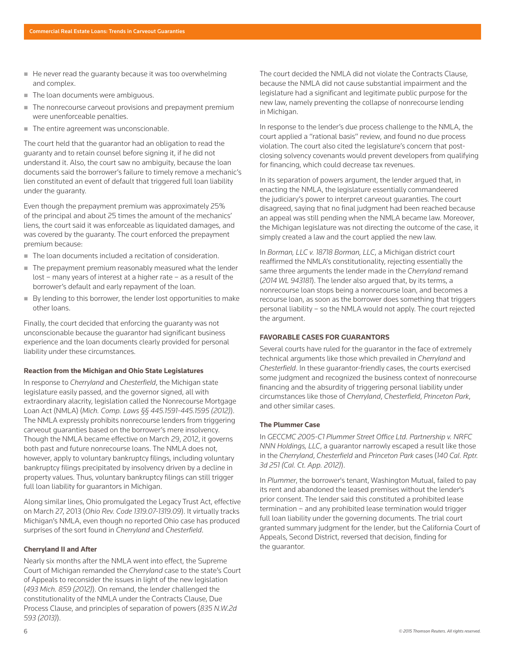- He never read the quaranty because it was too overwhelming and complex.
- The loan documents were ambiguous.
- The nonrecourse carveout provisions and prepayment premium were unenforceable penalties.
- The entire agreement was unconscionable.

The court held that the guarantor had an obligation to read the guaranty and to retain counsel before signing it, if he did not understand it. Also, the court saw no ambiguity, because the loan documents said the borrower's failure to timely remove a mechanic's lien constituted an event of default that triggered full loan liability under the guaranty.

Even though the prepayment premium was approximately 25% of the principal and about 25 times the amount of the mechanics' liens, the court said it was enforceable as liquidated damages, and was covered by the guaranty. The court enforced the prepayment premium because:

- The loan documents included a recitation of consideration.
- The prepayment premium reasonably measured what the lender lost – many years of interest at a higher rate – as a result of the borrower's default and early repayment of the loan.
- $\blacksquare$  By lending to this borrower, the lender lost opportunities to make other loans.

Finally, the court decided that enforcing the guaranty was not unconscionable because the guarantor had significant business experience and the loan documents clearly provided for personal liability under these circumstances.

#### **Reaction from the Michigan and Ohio State Legislatures**

In response to *Cherryland* and *Chesterfield*, the Michigan state legislature easily passed, and the governor signed, all with extraordinary alacrity, legislation called the Nonrecourse Mortgage Loan Act (NMLA) (*Mich. Comp. Laws §§ 445.1591-445.1595 (2012)*). The NMLA expressly prohibits nonrecourse lenders from triggering carveout guaranties based on the borrower's mere insolvency. Though the NMLA became effective on March 29, 2012, it governs both past and future nonrecourse loans. The NMLA does not, however, apply to voluntary bankruptcy filings, including voluntary bankruptcy filings precipitated by insolvency driven by a decline in property values. Thus, voluntary bankruptcy filings can still trigger full loan liability for guarantors in Michigan.

Along similar lines, Ohio promulgated the Legacy Trust Act, effective on March 27, 2013 (*Ohio Rev. Code 1319.07-1319.09*). It virtually tracks Michigan's NMLA, even though no reported Ohio case has produced surprises of the sort found in *Cherryland* and *Chesterfield*.

## **Cherryland II and After**

Nearly six months after the NMLA went into effect, the Supreme Court of Michigan remanded the *Cherryland* case to the state's Court of Appeals to reconsider the issues in light of the new legislation (*493 Mich. 859 (2012)*). On remand, the lender challenged the constitutionality of the NMLA under the Contracts Clause, Due Process Clause, and principles of separation of powers (*835 N.W.2d 593 (2013)*).

The court decided the NMLA did not violate the Contracts Clause, because the NMLA did not cause substantial impairment and the legislature had a significant and legitimate public purpose for the new law, namely preventing the collapse of nonrecourse lending in Michigan.

In response to the lender's due process challenge to the NMLA, the court applied a "rational basis" review, and found no due process violation. The court also cited the legislature's concern that postclosing solvency covenants would prevent developers from qualifying for financing, which could decrease tax revenues.

In its separation of powers argument, the lender argued that, in enacting the NMLA, the legislature essentially commandeered the judiciary's power to interpret carveout guaranties. The court disagreed, saying that no final judgment had been reached because an appeal was still pending when the NMLA became law. Moreover, the Michigan legislature was not directing the outcome of the case, it simply created a law and the court applied the new law.

In *Borman, LLC v. 18718 Borman, LLC*, a Michigan district court reaffirmed the NMLA's constitutionality, rejecting essentially the same three arguments the lender made in the *Cherryland* remand (*2014 WL 943181*). The lender also argued that, by its terms, a nonrecourse loan stops being a nonrecourse loan, and becomes a recourse loan, as soon as the borrower does something that triggers personal liability – so the NMLA would not apply. The court rejected the argument.

## **FAVORABLE CASES FOR GUARANTORS**

Several courts have ruled for the guarantor in the face of extremely technical arguments like those which prevailed in *Cherryland* and *Chesterfield*. In these guarantor-friendly cases, the courts exercised some judgment and recognized the business context of nonrecourse financing and the absurdity of triggering personal liability under circumstances like those of *Cherryland*, *Chesterfield*, *Princeton Park*, and other similar cases.

## **The Plummer Case**

In *GECCMC 2005-C1 Plummer Street Office Ltd. Partnership v. NRFC NNN Holdings, LLC*, a guarantor narrowly escaped a result like those in the *Cherryland*, *Chesterfield* and *Princeton Park* cases (*140 Cal. Rptr. 3d 251 (Cal. Ct. App. 2012)*).

In *Plummer*, the borrower's tenant, Washington Mutual, failed to pay its rent and abandoned the leased premises without the lender's prior consent. The lender said this constituted a prohibited lease termination – and any prohibited lease termination would trigger full loan liability under the governing documents. The trial court granted summary judgment for the lender, but the California Court of Appeals, Second District, reversed that decision, finding for the guarantor.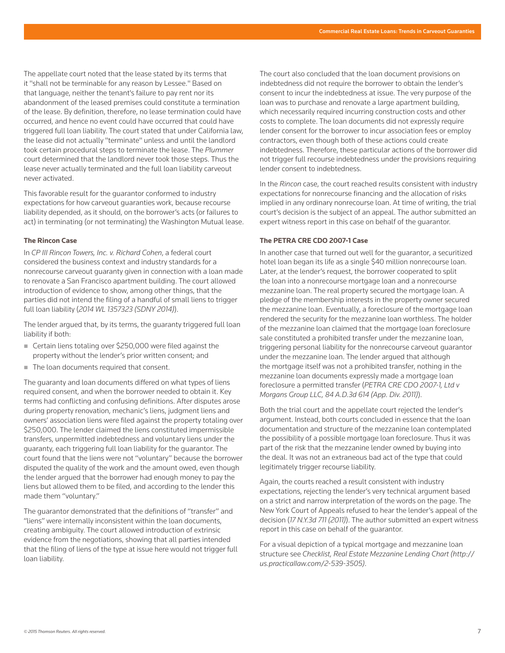The appellate court noted that the lease stated by its terms that it "shall not be terminable for any reason by Lessee." Based on that language, neither the tenant's failure to pay rent nor its abandonment of the leased premises could constitute a termination of the lease. By definition, therefore, no lease termination could have occurred, and hence no event could have occurred that could have triggered full loan liability. The court stated that under California law, the lease did not actually "terminate" unless and until the landlord took certain procedural steps to terminate the lease. The *Plummer* court determined that the landlord never took those steps. Thus the lease never actually terminated and the full loan liability carveout never activated.

This favorable result for the guarantor conformed to industry expectations for how carveout guaranties work, because recourse liability depended, as it should, on the borrower's acts (or failures to act) in terminating (or not terminating) the Washington Mutual lease.

## **The Rincon Case**

In *CP III Rincon Towers, Inc. v. Richard Cohen*, a federal court considered the business context and industry standards for a nonrecourse carveout guaranty given in connection with a loan made to renovate a San Francisco apartment building. The court allowed introduction of evidence to show, among other things, that the parties did not intend the filing of a handful of small liens to trigger full loan liability (*2014 WL 1357323 (SDNY 2014)*).

The lender argued that, by its terms, the guaranty triggered full loan liability if both:

- Certain liens totaling over \$250,000 were filed against the property without the lender's prior written consent; and
- The loan documents required that consent.

The guaranty and loan documents differed on what types of liens required consent, and when the borrower needed to obtain it. Key terms had conflicting and confusing definitions. After disputes arose during property renovation, mechanic's liens, judgment liens and owners' association liens were filed against the property totaling over \$250,000. The lender claimed the liens constituted impermissible transfers, unpermitted indebtedness and voluntary liens under the guaranty, each triggering full loan liability for the guarantor. The court found that the liens were not "voluntary" because the borrower disputed the quality of the work and the amount owed, even though the lender argued that the borrower had enough money to pay the liens but allowed them to be filed, and according to the lender this made them "voluntary."

The guarantor demonstrated that the definitions of "transfer" and "liens" were internally inconsistent within the loan documents, creating ambiguity. The court allowed introduction of extrinsic evidence from the negotiations, showing that all parties intended that the filing of liens of the type at issue here would not trigger full loan liability.

The court also concluded that the loan document provisions on indebtedness did not require the borrower to obtain the lender's consent to incur the indebtedness at issue. The very purpose of the loan was to purchase and renovate a large apartment building, which necessarily required incurring construction costs and other costs to complete. The loan documents did not expressly require lender consent for the borrower to incur association fees or employ contractors, even though both of these actions could create indebtedness. Therefore, these particular actions of the borrower did not trigger full recourse indebtedness under the provisions requiring lender consent to indebtedness.

In the *Rincon* case, the court reached results consistent with industry expectations for nonrecourse financing and the allocation of risks implied in any ordinary nonrecourse loan. At time of writing, the trial court's decision is the subject of an appeal. The author submitted an expert witness report in this case on behalf of the guarantor.

# **The PETRA CRE CDO 2007-1 Case**

In another case that turned out well for the guarantor, a securitized hotel loan began its life as a single \$40 million nonrecourse loan. Later, at the lender's request, the borrower cooperated to split the loan into a nonrecourse mortgage loan and a nonrecourse mezzanine loan. The real property secured the mortgage loan. A pledge of the membership interests in the property owner secured the mezzanine loan. Eventually, a foreclosure of the mortgage loan rendered the security for the mezzanine loan worthless. The holder of the mezzanine loan claimed that the mortgage loan foreclosure sale constituted a prohibited transfer under the mezzanine loan, triggering personal liability for the nonrecourse carveout guarantor under the mezzanine loan. The lender argued that although the mortgage itself was not a prohibited transfer, nothing in the mezzanine loan documents expressly made a mortgage loan foreclosure a permitted transfer (*PETRA CRE CDO 2007-1, Ltd v Morgans Group LLC, 84 A.D.3d 614 (App. Div. 2011)*).

Both the trial court and the appellate court rejected the lender's argument. Instead, both courts concluded in essence that the loan documentation and structure of the mezzanine loan contemplated the possibility of a possible mortgage loan foreclosure. Thus it was part of the risk that the mezzanine lender owned by buying into the deal. It was not an extraneous bad act of the type that could legitimately trigger recourse liability.

Again, the courts reached a result consistent with industry expectations, rejecting the lender's very technical argument based on a strict and narrow interpretation of the words on the page. The New York Court of Appeals refused to hear the lender's appeal of the decision (*17 N.Y.3d 711 (2011)*). The author submitted an expert witness report in this case on behalf of the guarantor.

For a visual depiction of a typical mortgage and mezzanine loan structure see *Checklist, Real Estate Mezzanine Lending Chart (http:// us.practicallaw.com/2-539-3505)*.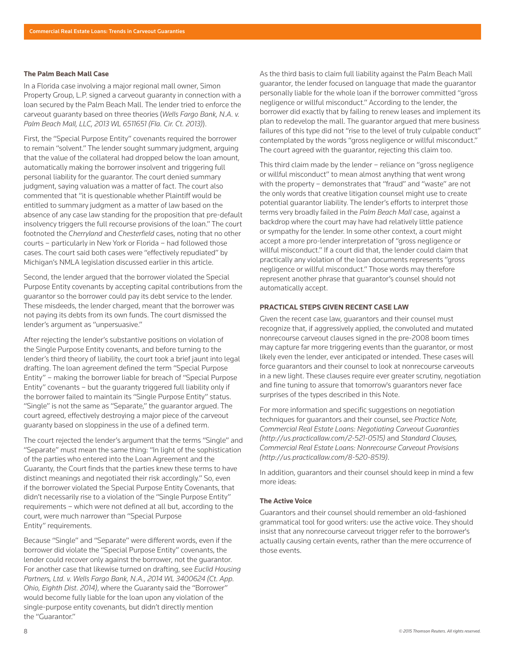#### **The Palm Beach Mall Case**

In a Florida case involving a major regional mall owner, Simon Property Group, L.P. signed a carveout guaranty in connection with a loan secured by the Palm Beach Mall. The lender tried to enforce the carveout guaranty based on three theories (*Wells Fargo Bank, N.A. v. Palm Beach Mall, LLC, 2013 WL 6511651 (Fla. Cir. Ct. 2013)*).

First, the "Special Purpose Entity" covenants required the borrower to remain "solvent." The lender sought summary judgment, arguing that the value of the collateral had dropped below the loan amount, automatically making the borrower insolvent and triggering full personal liability for the guarantor. The court denied summary judgment, saying valuation was a matter of fact. The court also commented that "it is questionable whether Plaintiff would be entitled to summary judgment as a matter of law based on the absence of any case law standing for the proposition that pre-default insolvency triggers the full recourse provisions of the loan." The court footnoted the *Cherryland* and *Chesterfield* cases, noting that no other courts – particularly in New York or Florida – had followed those cases. The court said both cases were "effectively repudiated" by Michigan's NMLA legislation discussed earlier in this article.

Second, the lender argued that the borrower violated the Special Purpose Entity covenants by accepting capital contributions from the guarantor so the borrower could pay its debt service to the lender. These misdeeds, the lender charged, meant that the borrower was not paying its debts from its own funds. The court dismissed the lender's argument as "unpersuasive."

After rejecting the lender's substantive positions on violation of the Single Purpose Entity covenants, and before turning to the lender's third theory of liability, the court took a brief jaunt into legal drafting. The loan agreement defined the term "Special Purpose Entity" – making the borrower liable for breach of "Special Purpose Entity" covenants – but the guaranty triggered full liability only if the borrower failed to maintain its "Single Purpose Entity" status. "Single" is not the same as "Separate," the guarantor argued. The court agreed, effectively destroying a major piece of the carveout guaranty based on sloppiness in the use of a defined term.

The court rejected the lender's argument that the terms "Single" and "Separate" must mean the same thing: "In light of the sophistication of the parties who entered into the Loan Agreement and the Guaranty, the Court finds that the parties knew these terms to have distinct meanings and negotiated their risk accordingly." So, even if the borrower violated the Special Purpose Entity Covenants, that didn't necessarily rise to a violation of the "Single Purpose Entity" requirements – which were not defined at all but, according to the court, were much narrower than "Special Purpose Entity" requirements.

Because "Single" and "Separate" were different words, even if the borrower did violate the "Special Purpose Entity" covenants, the lender could recover only against the borrower, not the guarantor. For another case that likewise turned on drafting, see *Euclid Housing Partners, Ltd. v. Wells Fargo Bank, N.A., 2014 WL 3400624 (Ct. App. Ohio, Eighth Dist. 2014)*, where the Guaranty said the "Borrower" would become fully liable for the loan upon any violation of the single-purpose entity covenants, but didn't directly mention the "Guarantor."

As the third basis to claim full liability against the Palm Beach Mall guarantor, the lender focused on language that made the guarantor personally liable for the whole loan if the borrower committed "gross negligence or willful misconduct." According to the lender, the borrower did exactly that by failing to renew leases and implement its plan to redevelop the mall. The guarantor argued that mere business failures of this type did not "rise to the level of truly culpable conduct" contemplated by the words "gross negligence or willful misconduct." The court agreed with the guarantor, rejecting this claim too.

This third claim made by the lender – reliance on "gross negligence or willful misconduct" to mean almost anything that went wrong with the property – demonstrates that "fraud" and "waste" are not the only words that creative litigation counsel might use to create potential guarantor liability. The lender's efforts to interpret those terms very broadly failed in the *Palm Beach Mall* case, against a backdrop where the court may have had relatively little patience or sympathy for the lender. In some other context, a court might accept a more pro-lender interpretation of "gross negligence or willful misconduct." If a court did that, the lender could claim that practically any violation of the loan documents represents "gross negligence or willful misconduct." Those words may therefore represent another phrase that guarantor's counsel should not automatically accept.

# **PRACTICAL STEPS GIVEN RECENT CASE LAW**

Given the recent case law, guarantors and their counsel must recognize that, if aggressively applied, the convoluted and mutated nonrecourse carveout clauses signed in the pre-2008 boom times may capture far more triggering events than the guarantor, or most likely even the lender, ever anticipated or intended. These cases will force guarantors and their counsel to look at nonrecourse carveouts in a new light. These clauses require ever greater scrutiny, negotiation and fine tuning to assure that tomorrow's guarantors never face surprises of the types described in this Note.

For more information and specific suggestions on negotiation techniques for guarantors and their counsel, see *Practice Note, Commercial Real Estate Loans: Negotiating Carveout Guaranties (http://us.practicallaw.com/2-521-0515)* and *Standard Clauses, Commercial Real Estate Loans: Nonrecourse Carveout Provisions (http://us.practicallaw.com/8-520-8519)*.

In addition, guarantors and their counsel should keep in mind a few more ideas:

## **The Active Voice**

Guarantors and their counsel should remember an old-fashioned grammatical tool for good writers: use the active voice. They should insist that any nonrecourse carveout trigger refer to the borrower's actually causing certain events, rather than the mere occurrence of those events.